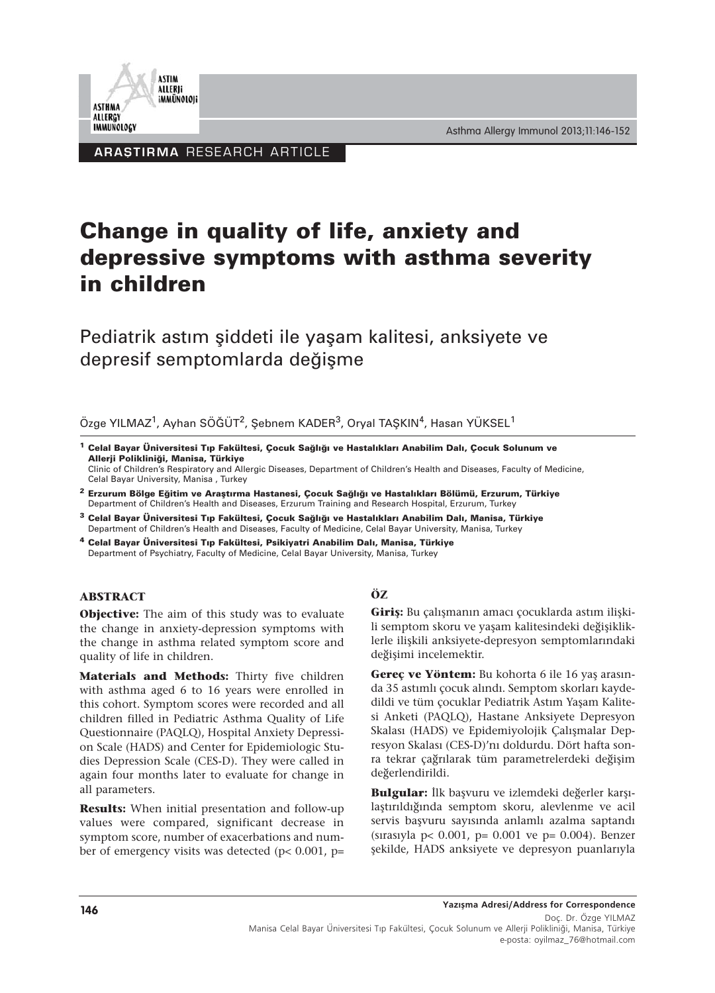Asthma Allergy Immunol 2013;11:146-152



**ARAȘTIRMA RESEARCH ARTICLE** 

# **Change in quality of life, anxiety and depressive symptoms with asthma severity in children**

Pediatrik astım şiddeti ile yaşam kalitesi, anksiyete ve depresif semptomlarda değişme

Özge YILMAZ<sup>1</sup>, Ayhan SÖĞÜT<sup>2</sup>, Şebnem KADER<sup>3</sup>, Oryal TAŞKIN<sup>4</sup>, Hasan YÜKSEL<sup>1</sup>

**<sup>1</sup> Celal Bayar Üniversitesi Tıp Fakültesi, Çocuk Sağlığı ve Hastalıkları Anabilim Dalı, Çocuk Solunum ve Allerji Polikliniği, Manisa, Türkiye**

Clinic of Children's Respiratory and Allergic Diseases, Department of Children's Health and Diseases, Faculty of Medicine, Celal Bayar University, Manisa , Turkey

- **<sup>2</sup> Erzurum Bölge Eğitim ve Araştırma Hastanesi, Çocuk Sağlığı ve Hastalıkları Bölümü, Erzurum, Türkiye** Department of Children's Health and Diseases, Erzurum Training and Research Hospital, Erzurum, Turkey
- **<sup>3</sup> Celal Bayar Üniversitesi Tıp Fakültesi, Çocuk Sağlığı ve Hastalıkları Anabilim Dalı, Manisa, Türkiye** Department of Children's Health and Diseases, Faculty of Medicine, Celal Bayar University, Manisa, Turkey
- **<sup>4</sup> Celal Bayar Üniversitesi Tıp Fakültesi, Psikiyatri Anabilim Dalı, Manisa, Türkiye** Department of Psychiatry, Faculty of Medicine, Celal Bayar University, Manisa, Turkey

#### **ABSTRACT**

**Objective:** The aim of this study was to evaluate the change in anxiety-depression symptoms with the change in asthma related symptom score and quality of life in children.

**Materials and Methods:** Thirty five children with asthma aged 6 to 16 years were enrolled in this cohort. Symptom scores were recorded and all children filled in Pediatric Asthma Quality of Life Questionnaire (PAQLQ), Hospital Anxiety Depression Scale (HADS) and Center for Epidemiologic Studies Depression Scale (CES-D). They were called in again four months later to evaluate for change in all parameters.

**Results:** When initial presentation and follow-up values were compared, significant decrease in symptom score, number of exacerbations and number of emergency visits was detected ( $p$ < 0.001,  $p$ =

## **ÖZ**

**Giriş:** Bu çalışmanın amacı çocuklarda astım ilişkili semptom skoru ve yaşam kalitesindeki değişikliklerle ilişkili anksiyete-depresyon semptomlarındaki değişimi incelemektir.

**Gereç ve Yöntem:** Bu kohorta 6 ile 16 yaş arasında 35 astımlı çocuk alındı. Semptom skorları kaydedildi ve tüm çocuklar Pediatrik Astım Yaşam Kalitesi Anketi (PAQLQ), Hastane Anksiyete Depresyon Skalası (HADS) ve Epidemiyolojik Çalışmalar Depresyon Skalası (CES-D)'nı doldurdu. Dört hafta sonra tekrar çağrılarak tüm parametrelerdeki değişim değerlendirildi.

**Bulgular:** İlk başvuru ve izlemdeki değerler karşılaştırıldığında semptom skoru, alevlenme ve acil servis başvuru sayısında anlamlı azalma saptandı (sırasıyla p< 0.001, p= 0.001 ve p= 0.004). Benzer şekilde, HADS anksiyete ve depresyon puanlarıyla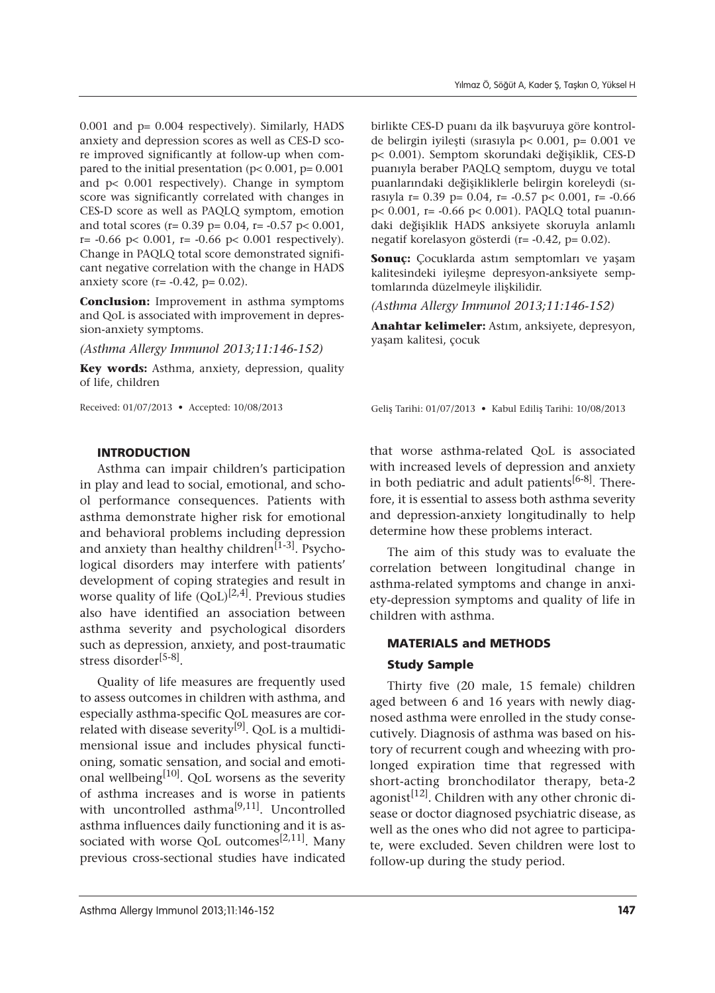0.001 and p= 0.004 respectively). Similarly, HADS anxiety and depression scores as well as CES-D score improved significantly at follow-up when compared to the initial presentation ( $p$ < 0.001,  $p$ = 0.001 and p< 0.001 respectively). Change in symptom score was significantly correlated with changes in CES-D score as well as PAQLQ symptom, emotion and total scores (r=  $0.39$  p=  $0.04$ , r=  $-0.57$  p<  $0.001$ ,  $r= -0.66$  p< 0.001,  $r= -0.66$  p< 0.001 respectively). Change in PAQLQ total score demonstrated significant negative correlation with the change in HADS anxiety score (r=  $-0.42$ , p= 0.02).

**Conclusion:** Improvement in asthma symptoms and QoL is associated with improvement in depression-anxiety symptoms.

*(Asthma Allergy Immunol 2013;11:146-152)*

**Key words:** Asthma, anxiety, depression, quality of life, children

Received: 01/07/2013 • Accepted: 10/08/2013

birlikte CES-D puanı da ilk başvuruya göre kontrolde belirgin iyileşti (sırasıyla p< 0.001, p= 0.001 ve p< 0.001). Semptom skorundaki değişiklik, CES-D puanıyla beraber PAQLQ semptom, duygu ve total puanlarındaki değişikliklerle belirgin koreleydi (sırasıyla r= 0.39 p= 0.04, r= -0.57 p< 0.001, r= -0.66 p< 0.001, r= -0.66 p< 0.001). PAQLQ total puanındaki değişiklik HADS anksiyete skoruyla anlamlı negatif korelasyon gösterdi (r= -0.42, p= 0.02).

**Sonuç:** Çocuklarda astım semptomları ve yaşam kalitesindeki iyileşme depresyon-anksiyete semptomlarında düzelmeyle ilişkilidir.

*(Asthma Allergy Immunol 2013;11:146-152)*

**Anahtar kelimeler:** Astım, anksiyete, depresyon, yaşam kalitesi, çocuk

Geliş Tarihi: 01/07/2013 • Kabul Ediliş Tarihi: 10/08/2013

## INTRODUCTION

Asthma can impair children's participation in play and lead to social, emotional, and school performance consequences. Patients with asthma demonstrate higher risk for emotional and behavioral problems including depression and anxiety than healthy children<sup>[1-3]</sup>. Psychological disorders may interfere with patients' development of coping strategies and result in worse quality of life  $(QoL)^{[2,4]}$ . Previous studies also have identified an association between asthma severity and psychological disorders such as depression, anxiety, and post-traumatic stress disorder[5-8].

Quality of life measures are frequently used to assess outcomes in children with asthma, and especially asthma-specific QoL measures are correlated with disease severity<sup>[9]</sup>. QoL is a multidimensional issue and includes physical functioning, somatic sensation, and social and emotional wellbeing $[10]$ . QoL worsens as the severity of asthma increases and is worse in patients with uncontrolled asthma<sup>[9,11]</sup>. Uncontrolled asthma influences daily functioning and it is associated with worse QoL outcomes<sup>[2,11]</sup>. Many previous cross-sectional studies have indicated

that worse asthma-related QoL is associated with increased levels of depression and anxiety in both pediatric and adult patients<sup>[6-8]</sup>. Therefore, it is essential to assess both asthma severity and depression-anxiety longitudinally to help determine how these problems interact.

The aim of this study was to evaluate the correlation between longitudinal change in asthma-related symptoms and change in anxiety-depression symptoms and quality of life in children with asthma.

## MATERIALS and METHODS

## Study Sample

Thirty five (20 male, 15 female) children aged between 6 and 16 years with newly diagnosed asthma were enrolled in the study consecutively. Diagnosis of asthma was based on history of recurrent cough and wheezing with prolonged expiration time that regressed with short-acting bronchodilator therapy, beta-2 agonist<sup>[12]</sup>. Children with any other chronic disease or doctor diagnosed psychiatric disease, as well as the ones who did not agree to participate, were excluded. Seven children were lost to follow-up during the study period.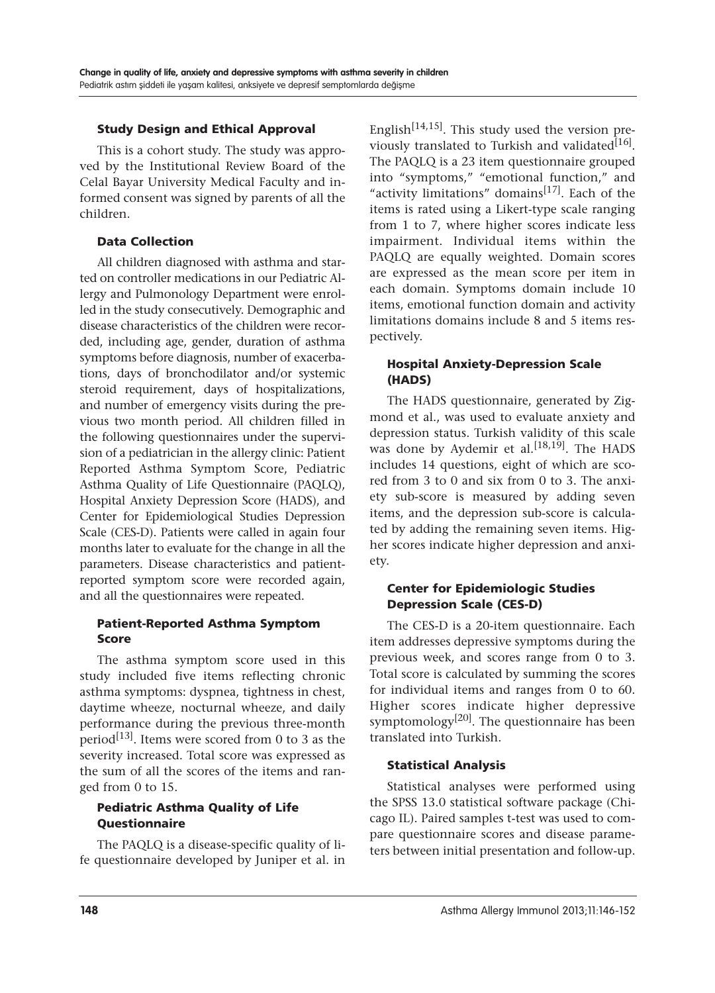## Study Design and Ethical Approval

This is a cohort study. The study was approved by the Institutional Review Board of the Celal Bayar University Medical Faculty and informed consent was signed by parents of all the children.

#### Data Collection

All children diagnosed with asthma and started on controller medications in our Pediatric Allergy and Pulmonology Department were enrolled in the study consecutively. Demographic and disease characteristics of the children were recorded, including age, gender, duration of asthma symptoms before diagnosis, number of exacerbations, days of bronchodilator and/or systemic steroid requirement, days of hospitalizations, and number of emergency visits during the previous two month period. All children filled in the following questionnaires under the supervision of a pediatrician in the allergy clinic: Patient Reported Asthma Symptom Score, Pediatric Asthma Quality of Life Questionnaire (PAQLQ), Hospital Anxiety Depression Score (HADS), and Center for Epidemiological Studies Depression Scale (CES-D). Patients were called in again four months later to evaluate for the change in all the parameters. Disease characteristics and patientreported symptom score were recorded again, and all the questionnaires were repeated.

#### Patient-Reported Asthma Symptom Score

The asthma symptom score used in this study included five items reflecting chronic asthma symptoms: dyspnea, tightness in chest, daytime wheeze, nocturnal wheeze, and daily performance during the previous three-month period<sup>[13]</sup>. Items were scored from 0 to 3 as the severity increased. Total score was expressed as the sum of all the scores of the items and ranged from 0 to 15.

## Pediatric Asthma Quality of Life Questionnaire

The PAQLQ is a disease-specific quality of life questionnaire developed by Juniper et al. in English<sup>[14,15]</sup>. This study used the version previously translated to Turkish and validated $[16]$ . The PAQLQ is a 23 item questionnaire grouped into "symptoms," "emotional function," and "activity limitations" domains $^{[17]}$ . Each of the items is rated using a Likert-type scale ranging from 1 to 7, where higher scores indicate less impairment. Individual items within the PAQLQ are equally weighted. Domain scores are expressed as the mean score per item in each domain. Symptoms domain include 10 items, emotional function domain and activity limitations domains include 8 and 5 items respectively.

## Hospital Anxiety-Depression Scale (HADS)

The HADS questionnaire, generated by Zigmond et al., was used to evaluate anxiety and depression status. Turkish validity of this scale was done by Aydemir et al.<sup>[18,19]</sup>. The HADS includes 14 questions, eight of which are scored from 3 to 0 and six from 0 to 3. The anxiety sub-score is measured by adding seven items, and the depression sub-score is calculated by adding the remaining seven items. Higher scores indicate higher depression and anxiety.

## Center for Epidemiologic Studies Depression Scale (CES-D)

The CES-D is a 20-item questionnaire. Each item addresses depressive symptoms during the previous week, and scores range from 0 to 3. Total score is calculated by summing the scores for individual items and ranges from 0 to 60. Higher scores indicate higher depressive symptomology<sup>[20]</sup>. The questionnaire has been translated into Turkish.

## Statistical Analysis

Statistical analyses were performed using the SPSS 13.0 statistical software package (Chicago IL). Paired samples t-test was used to compare questionnaire scores and disease parameters between initial presentation and follow-up.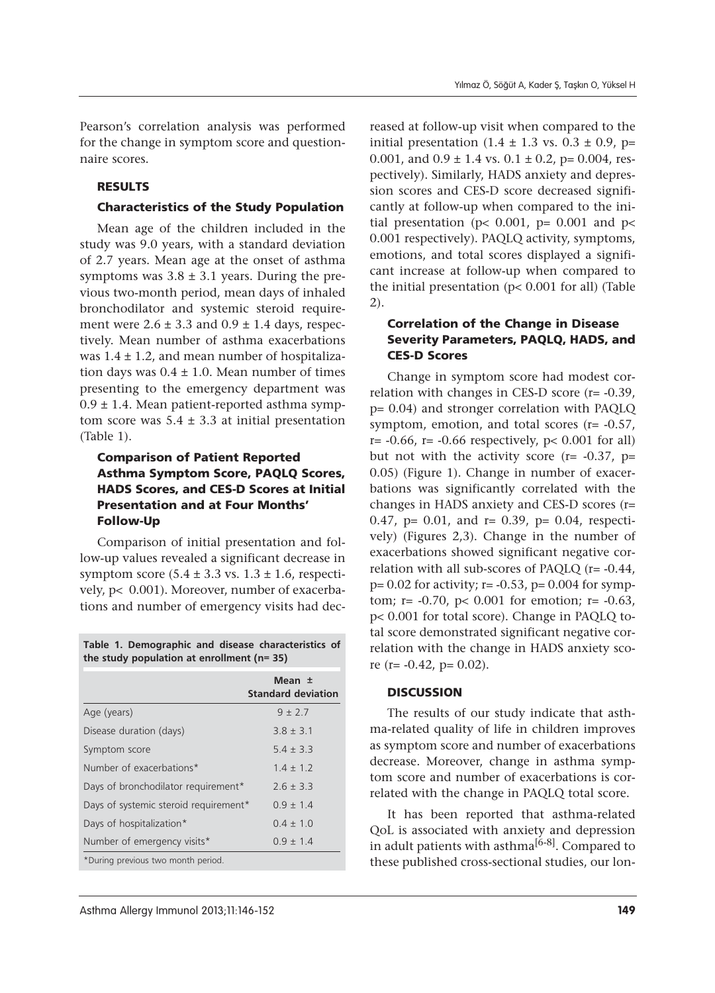Pearson's correlation analysis was performed for the change in symptom score and questionnaire scores.

#### RESULTS

#### Characteristics of the Study Population

Mean age of the children included in the study was 9.0 years, with a standard deviation of 2.7 years. Mean age at the onset of asthma symptoms was  $3.8 \pm 3.1$  years. During the previous two-month period, mean days of inhaled bronchodilator and systemic steroid requirement were  $2.6 \pm 3.3$  and  $0.9 \pm 1.4$  days, respectively. Mean number of asthma exacerbations was  $1.4 \pm 1.2$ , and mean number of hospitalization days was  $0.4 \pm 1.0$ . Mean number of times presenting to the emergency department was 0.9 ± 1.4. Mean patient-reported asthma symptom score was  $5.4 \pm 3.3$  at initial presentation (Table 1).

## Comparison of Patient Reported Asthma Symptom Score, PAQLQ Scores, HADS Scores, and CES-D Scores at Initial Presentation and at Four Months' Follow-Up

Comparison of initial presentation and follow-up values revealed a significant decrease in symptom score  $(5.4 \pm 3.3 \text{ vs. } 1.3 \pm 1.6)$ , respectively, p< 0.001). Moreover, number of exacerbations and number of emergency visits had dec-

**Table 1. Demographic and disease characteristics of the study population at enrollment (n= 35)**

|                                       | Mean ±<br><b>Standard deviation</b> |
|---------------------------------------|-------------------------------------|
| Age (years)                           | $9 + 27$                            |
| Disease duration (days)               | $38 + 31$                           |
| Symptom score                         | $5.4 \pm 3.3$                       |
| Number of exacerbations*              | $1.4 \pm 1.2$                       |
| Days of bronchodilator requirement*   | $26 + 33$                           |
| Days of systemic steroid requirement* | $09 + 14$                           |
| Days of hospitalization*              | $0.4 \pm 1.0$                       |
| Number of emergency visits*           | $0.9 \pm 1.4$                       |
| *During previous two month period.    |                                     |

reased at follow-up visit when compared to the initial presentation  $(1.4 \pm 1.3 \text{ vs. } 0.3 \pm 0.9)$ , p= 0.001, and  $0.9 \pm 1.4$  vs.  $0.1 \pm 0.2$ , p= 0.004, respectively). Similarly, HADS anxiety and depression scores and CES-D score decreased significantly at follow-up when compared to the initial presentation ( $p$ < 0.001,  $p$ = 0.001 and  $p$ < 0.001 respectively). PAQLQ activity, symptoms, emotions, and total scores displayed a significant increase at follow-up when compared to the initial presentation (p< 0.001 for all) (Table 2).

## Correlation of the Change in Disease Severity Parameters, PAQLQ, HADS, and CES-D Scores

Change in symptom score had modest correlation with changes in CES-D score (r= -0.39, p= 0.04) and stronger correlation with PAQLQ symptom, emotion, and total scores (r= -0.57,  $r= -0.66$ ,  $r= -0.66$  respectively,  $p< 0.001$  for all) but not with the activity score ( $r = -0.37$ ,  $p =$ 0.05) (Figure 1). Change in number of exacerbations was significantly correlated with the changes in HADS anxiety and CES-D scores (r= 0.47, p= 0.01, and r= 0.39, p= 0.04, respectively) (Figures 2,3). Change in the number of exacerbations showed significant negative correlation with all sub-scores of PAQLQ (r= -0.44,  $p= 0.02$  for activity;  $r= -0.53$ ,  $p= 0.004$  for symptom;  $r = -0.70$ ,  $p < 0.001$  for emotion;  $r = -0.63$ , p< 0.001 for total score). Change in PAQLQ total score demonstrated significant negative correlation with the change in HADS anxiety score (r=  $-0.42$ , p= 0.02).

#### **DISCUSSION**

The results of our study indicate that asthma-related quality of life in children improves as symptom score and number of exacerbations decrease. Moreover, change in asthma symptom score and number of exacerbations is correlated with the change in PAQLQ total score.

It has been reported that asthma-related QoL is associated with anxiety and depression in adult patients with asthma<sup>[6-8]</sup>. Compared to these published cross-sectional studies, our lon-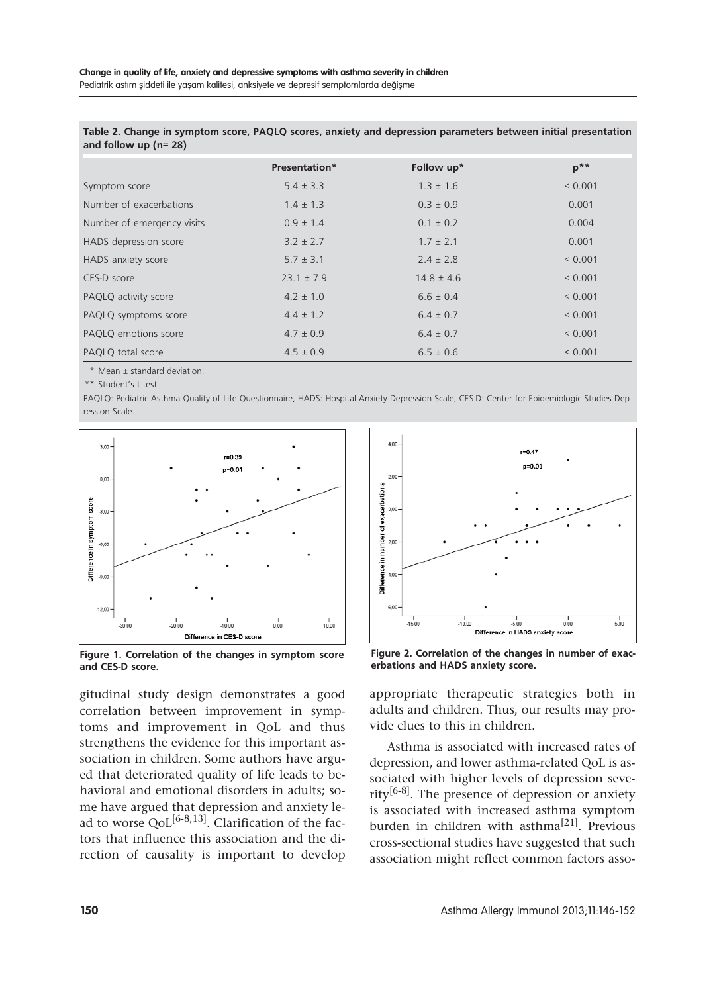|                            | Presentation*  | Follow up*     | $p^{\ast}$  |
|----------------------------|----------------|----------------|-------------|
| Symptom score              | $5.4 \pm 3.3$  | $1.3 \pm 1.6$  | < 0.001     |
| Number of exacerbations    | $1.4 \pm 1.3$  | $0.3 \pm 0.9$  | 0.001       |
| Number of emergency visits | $0.9 \pm 1.4$  | $0.1 \pm 0.2$  | 0.004       |
| HADS depression score      | $3.2 \pm 2.7$  | $1.7 \pm 2.1$  | 0.001       |
| HADS anxiety score         | $5.7 \pm 3.1$  | $2.4 \pm 2.8$  | < 0.001     |
| CES-D score                | $23.1 \pm 7.9$ | $14.8 \pm 4.6$ | < 0.001     |
| PAQLQ activity score       | $4.2 \pm 1.0$  | $6.6 \pm 0.4$  | < 0.001     |
| PAQLQ symptoms score       | $4.4 \pm 1.2$  | $6.4 \pm 0.7$  | < 0.001     |
| PAQLQ emotions score       | $4.7 \pm 0.9$  | $6.4 \pm 0.7$  | ${}< 0.001$ |
| PAQLQ total score          | $4.5 \pm 0.9$  | $6.5 \pm 0.6$  | ${}< 0.001$ |

**Table 2. Change in symptom score, PAQLQ scores, anxiety and depression parameters between initial presentation and follow up (n= 28)**

\* Mean ± standard deviation.

\*\* Student's t test

PAQLQ: Pediatric Asthma Quality of Life Questionnaire, HADS: Hospital Anxiety Depression Scale, CES-D: Center for Epidemiologic Studies Depression Scale.



**Figure 1. Correlation of the changes in symptom score and CES-D score.**

gitudinal study design demonstrates a good correlation between improvement in symptoms and improvement in QoL and thus strengthens the evidence for this important association in children. Some authors have argued that deteriorated quality of life leads to behavioral and emotional disorders in adults; some have argued that depression and anxiety lead to worse  $QoL^{[6-8,13]}$ . Clarification of the factors that influence this association and the direction of causality is important to develop



**Figure 2. Correlation of the changes in number of exacerbations and HADS anxiety score.**

appropriate therapeutic strategies both in adults and children. Thus, our results may provide clues to this in children.

Asthma is associated with increased rates of depression, and lower asthma-related QoL is associated with higher levels of depression severity[6-8]. The presence of depression or anxiety is associated with increased asthma symptom burden in children with asthma<sup>[21]</sup>. Previous cross-sectional studies have suggested that such association might reflect common factors asso-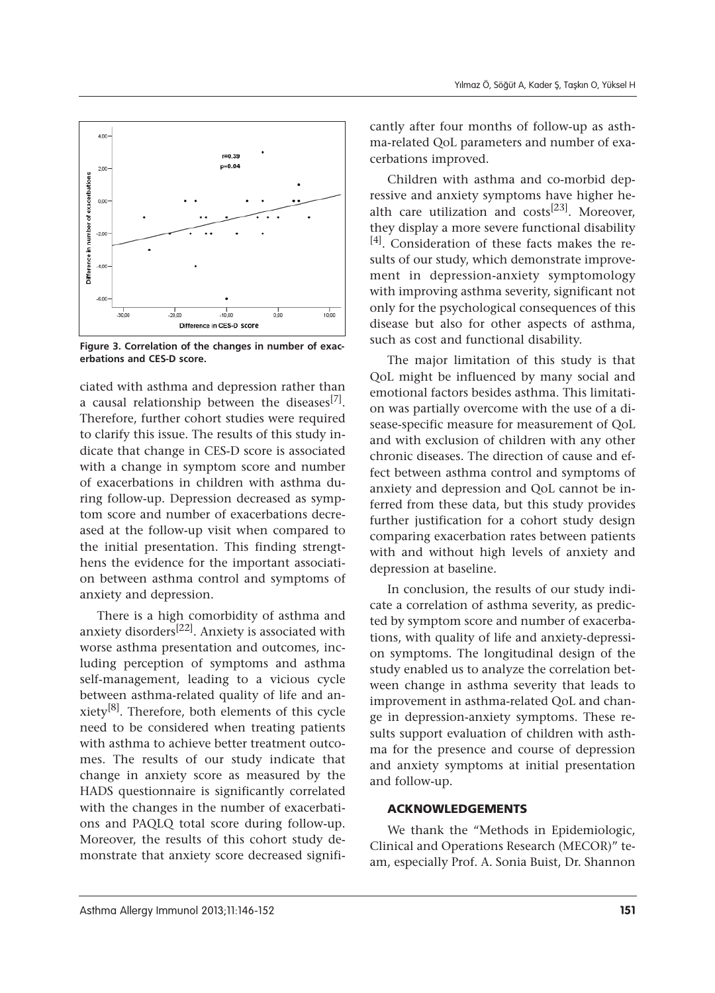

**Figure 3. Correlation of the changes in number of exacerbations and CES-D score.**

ciated with asthma and depression rather than a causal relationship between the diseases<sup>[7]</sup>. Therefore, further cohort studies were required to clarify this issue. The results of this study indicate that change in CES-D score is associated with a change in symptom score and number of exacerbations in children with asthma during follow-up. Depression decreased as symptom score and number of exacerbations decreased at the follow-up visit when compared to the initial presentation. This finding strengthens the evidence for the important association between asthma control and symptoms of anxiety and depression.

There is a high comorbidity of asthma and anxiety disorders<sup>[22]</sup>. Anxiety is associated with worse asthma presentation and outcomes, including perception of symptoms and asthma self-management, leading to a vicious cycle between asthma-related quality of life and anxiety[8]. Therefore, both elements of this cycle need to be considered when treating patients with asthma to achieve better treatment outcomes. The results of our study indicate that change in anxiety score as measured by the HADS questionnaire is significantly correlated with the changes in the number of exacerbations and PAQLQ total score during follow-up. Moreover, the results of this cohort study demonstrate that anxiety score decreased significantly after four months of follow-up as asthma-related QoL parameters and number of exacerbations improved.

Children with asthma and co-morbid depressive and anxiety symptoms have higher health care utilization and costs<sup>[23]</sup>. Moreover, they display a more severe functional disability [4]. Consideration of these facts makes the results of our study, which demonstrate improvement in depression-anxiety symptomology with improving asthma severity, significant not only for the psychological consequences of this disease but also for other aspects of asthma, such as cost and functional disability.

The major limitation of this study is that QoL might be influenced by many social and emotional factors besides asthma. This limitation was partially overcome with the use of a disease-specific measure for measurement of QoL and with exclusion of children with any other chronic diseases. The direction of cause and effect between asthma control and symptoms of anxiety and depression and QoL cannot be inferred from these data, but this study provides further justification for a cohort study design comparing exacerbation rates between patients with and without high levels of anxiety and depression at baseline.

In conclusion, the results of our study indicate a correlation of asthma severity, as predicted by symptom score and number of exacerbations, with quality of life and anxiety-depression symptoms. The longitudinal design of the study enabled us to analyze the correlation between change in asthma severity that leads to improvement in asthma-related QoL and change in depression-anxiety symptoms. These results support evaluation of children with asthma for the presence and course of depression and anxiety symptoms at initial presentation and follow-up.

#### ACKNOWLEDGEMENTS

We thank the "Methods in Epidemiologic, Clinical and Operations Research (MECOR)" team, especially Prof. A. Sonia Buist, Dr. Shannon